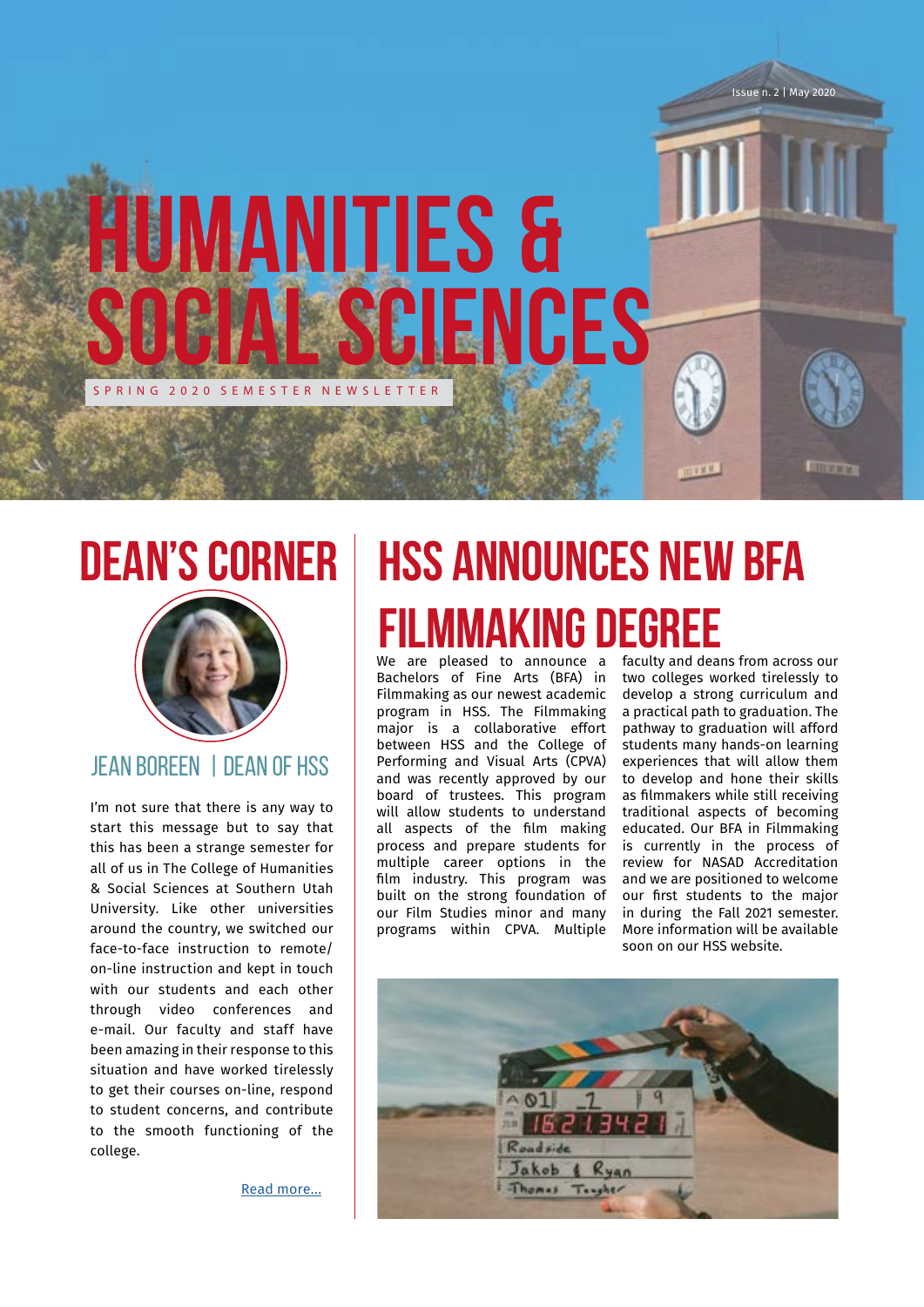

# **Dean's Corner**



### Jean Boreen | Dean of HSS

I'm not sure that there is any way to start this message but to say that this has been a strange semester for all of us in The College of Humanities & Social Sciences at Southern Utah University. Like other universities around the country, we switched our face-to-face instruction to remote/ on-line instruction and kept in touch with our students and each other through video conferences and e-mail. Our faculty and staff have been amazing in their response to this situation and have worked tirelessly to get their courses on-line, respond to student concerns, and contribute to the smooth functioning of the college.

[Read more...](https://drive.google.com/file/d/1OJVlTAVjR6moRLO7YxXn9x4MuZlbTZkg/view?usp=sharing)

# **HSS Announces New BFA Filmmaking Degree**

We are pleased to announce a faculty and deans from across our Bachelors of Fine Arts (BFA) in Filmmaking as our newest academic program in HSS. The Filmmaking major is a collaborative effort between HSS and the College of Performing and Visual Arts (CPVA) and was recently approved by our board of trustees. This program will allow students to understand all aspects of the film making process and prepare students for multiple career options in the film industry. This program was built on the strong foundation of our Film Studies minor and many programs within CPVA. Multiple

two colleges worked tirelessly to develop a strong curriculum and a practical path to graduation. The pathway to graduation will afford students many hands-on learning experiences that will allow them to develop and hone their skills as filmmakers while still receiving traditional aspects of becoming educated. Our BFA in Filmmaking is currently in the process of review for NASAD Accreditation and we are positioned to welcome our first students to the major in during the Fall 2021 semester. More information will be available soon on our HSS website.

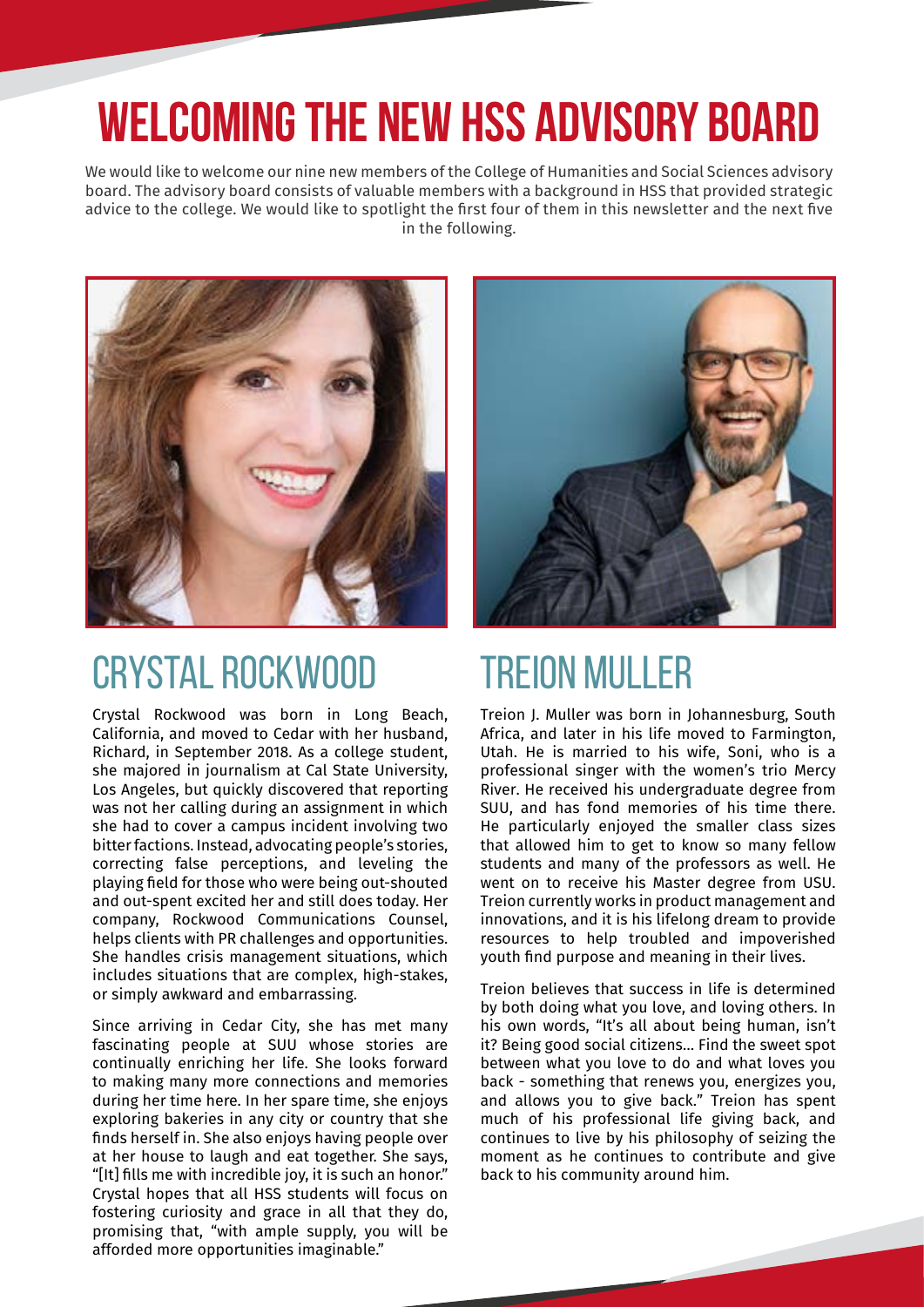# **WELCOMING THE NEW HSS ADVISORY BOARD**

We would like to welcome our nine new members of the College of Humanities and Social Sciences advisory board. The advisory board consists of valuable members with a background in HSS that provided strategic advice to the college. We would like to spotlight the first four of them in this newsletter and the next five in the following.



## CRYSTAL ROCKWOOD

Crystal Rockwood was born in Long Beach, California, and moved to Cedar with her husband, Richard, in September 2018. As a college student, she majored in journalism at Cal State University, Los Angeles, but quickly discovered that reporting was not her calling during an assignment in which she had to cover a campus incident involving two bitter factions. Instead, advocating people's stories, correcting false perceptions, and leveling the playing field for those who were being out-shouted and out-spent excited her and still does today. Her company, Rockwood Communications Counsel, helps clients with PR challenges and opportunities. She handles crisis management situations, which includes situations that are complex, high-stakes, or simply awkward and embarrassing.

Since arriving in Cedar City, she has met many fascinating people at SUU whose stories are continually enriching her life. She looks forward to making many more connections and memories during her time here. In her spare time, she enjoys exploring bakeries in any city or country that she finds herself in. She also enjoys having people over at her house to laugh and eat together. She says, "[It] fills me with incredible joy, it is such an honor." Crystal hopes that all HSS students will focus on fostering curiosity and grace in all that they do, promising that, "with ample supply, you will be afforded more opportunities imaginable."



# TREION MULLER

Treion J. Muller was born in Johannesburg, South Africa, and later in his life moved to Farmington, Utah. He is married to his wife, Soni, who is a professional singer with the women's trio Mercy River. He received his undergraduate degree from SUU, and has fond memories of his time there. He particularly enjoyed the smaller class sizes that allowed him to get to know so many fellow students and many of the professors as well. He went on to receive his Master degree from USU. Treion currently works in product management and innovations, and it is his lifelong dream to provide resources to help troubled and impoverished youth find purpose and meaning in their lives.

Treion believes that success in life is determined by both doing what you love, and loving others. In his own words, "It's all about being human, isn't it? Being good social citizens… Find the sweet spot between what you love to do and what loves you back - something that renews you, energizes you, and allows you to give back." Treion has spent much of his professional life giving back, and continues to live by his philosophy of seizing the moment as he continues to contribute and give back to his community around him.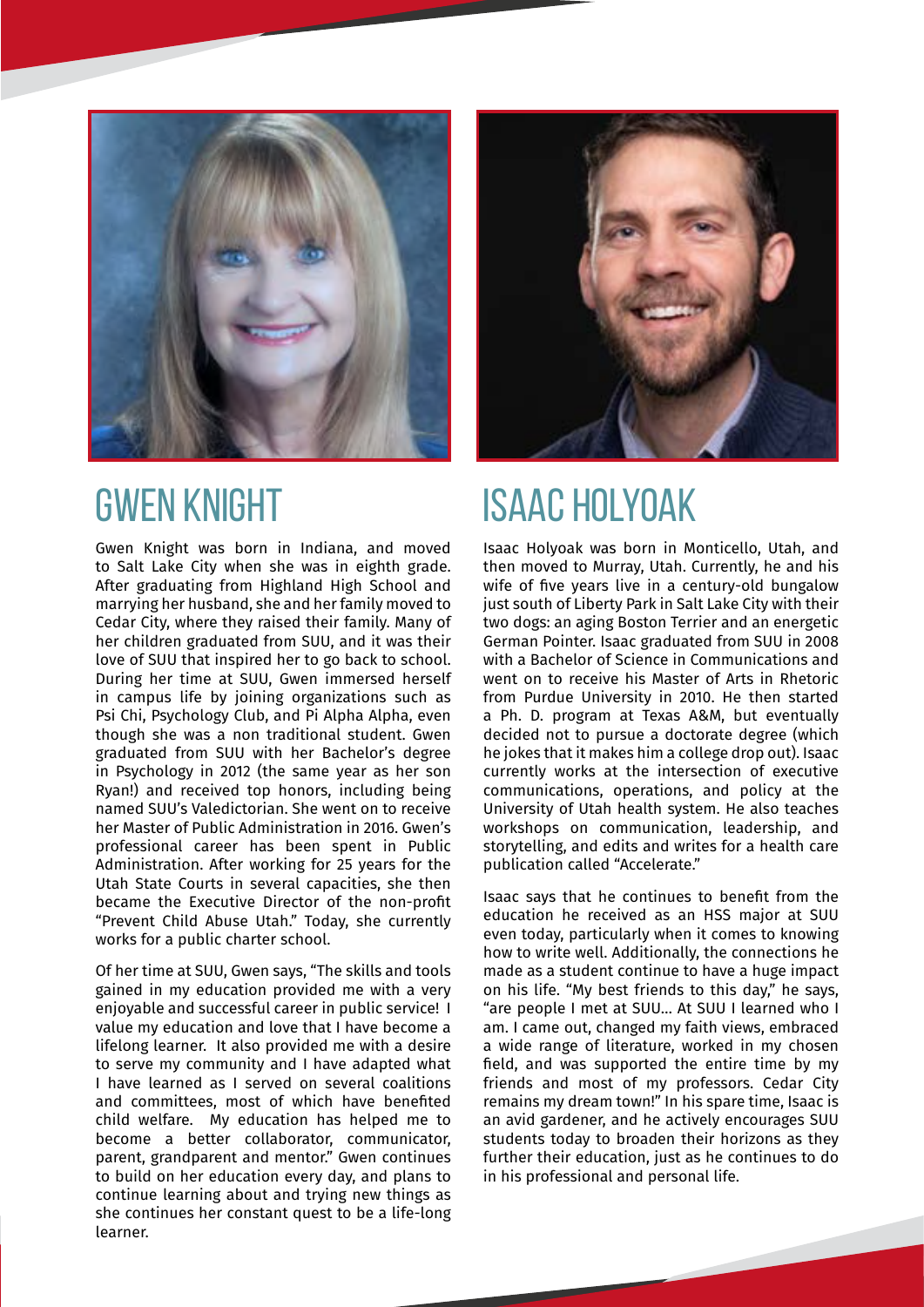

## GWEN KNIGHT

Gwen Knight was born in Indiana, and moved to Salt Lake City when she was in eighth grade. After graduating from Highland High School and marrying her husband, she and her family moved to Cedar City, where they raised their family. Many of her children graduated from SUU, and it was their love of SUU that inspired her to go back to school. During her time at SUU, Gwen immersed herself in campus life by joining organizations such as Psi Chi, Psychology Club, and Pi Alpha Alpha, even though she was a non traditional student. Gwen graduated from SUU with her Bachelor's degree in Psychology in 2012 (the same year as her son Ryan!) and received top honors, including being named SUU's Valedictorian. She went on to receive her Master of Public Administration in 2016. Gwen's professional career has been spent in Public Administration. After working for 25 years for the Utah State Courts in several capacities, she then became the Executive Director of the non-profit "Prevent Child Abuse Utah." Today, she currently works for a public charter school.

Of her time at SUU, Gwen says, "The skills and tools gained in my education provided me with a very enjoyable and successful career in public service! I value my education and love that I have become a lifelong learner. It also provided me with a desire to serve my community and I have adapted what I have learned as I served on several coalitions and committees, most of which have benefited child welfare. My education has helped me to become a better collaborator, communicator, parent, grandparent and mentor." Gwen continues to build on her education every day, and plans to continue learning about and trying new things as she continues her constant quest to be a life-long learner.



# ISAAC HOLYOAK

Isaac Holyoak was born in Monticello, Utah, and then moved to Murray, Utah. Currently, he and his wife of five years live in a century-old bungalow just south of Liberty Park in Salt Lake City with their two dogs: an aging Boston Terrier and an energetic German Pointer. Isaac graduated from SUU in 2008 with a Bachelor of Science in Communications and went on to receive his Master of Arts in Rhetoric from Purdue University in 2010. He then started a Ph. D. program at Texas A&M, but eventually decided not to pursue a doctorate degree (which he jokes that it makes him a college drop out). Isaac currently works at the intersection of executive communications, operations, and policy at the University of Utah health system. He also teaches workshops on communication, leadership, and storytelling, and edits and writes for a health care publication called "Accelerate."

Isaac says that he continues to benefit from the education he received as an HSS major at SUU even today, particularly when it comes to knowing how to write well. Additionally, the connections he made as a student continue to have a huge impact on his life. "My best friends to this day," he says, "are people I met at SUU… At SUU I learned who I am. I came out, changed my faith views, embraced a wide range of literature, worked in my chosen field, and was supported the entire time by my friends and most of my professors. Cedar City remains my dream town!" In his spare time, Isaac is an avid gardener, and he actively encourages SUU students today to broaden their horizons as they further their education, just as he continues to do in his professional and personal life.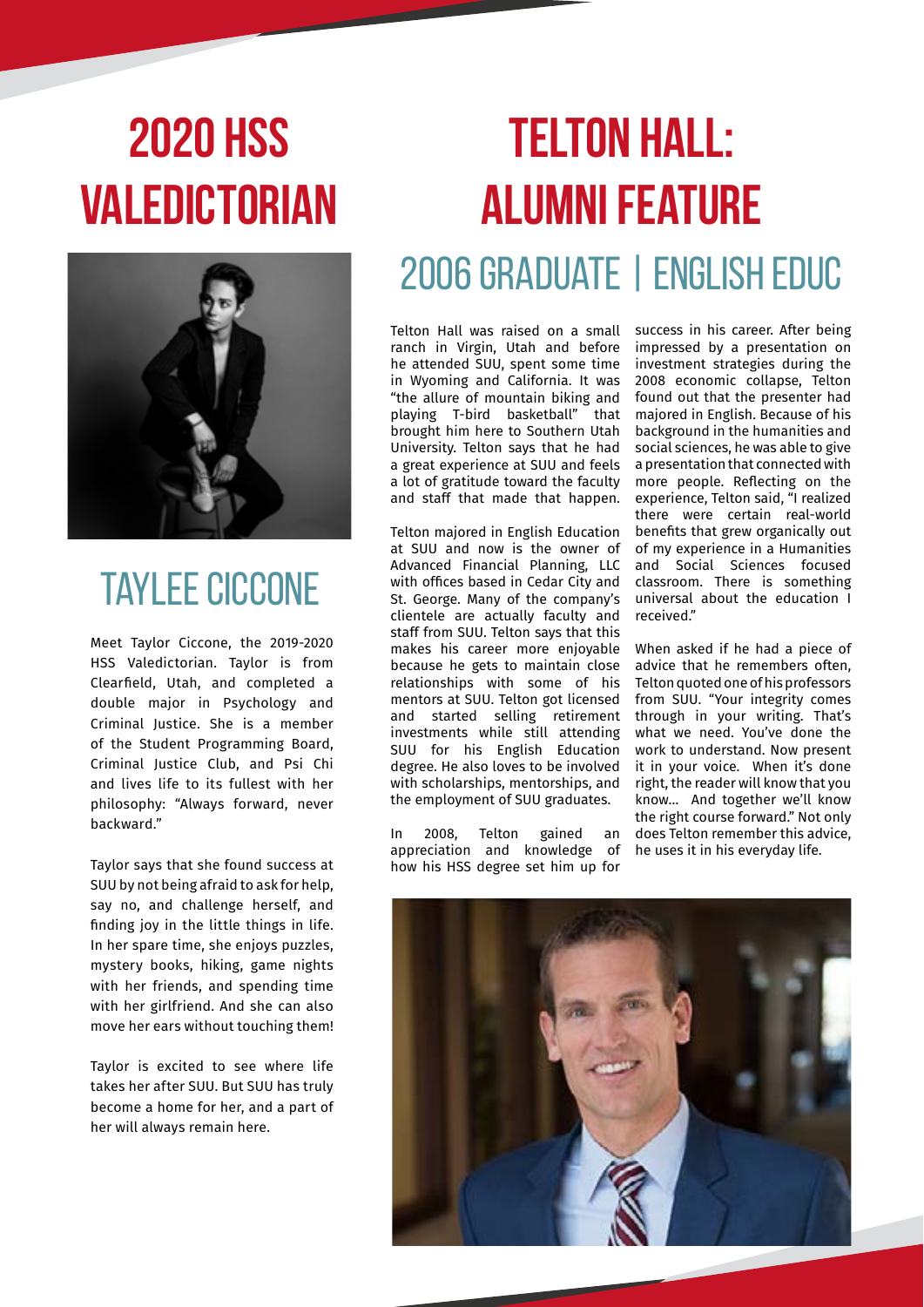# **2020 hss valedictorian**



## TAYLEE CICCONE

Meet Taylor Ciccone, the 2019-2020 HSS Valedictorian. Taylor is from Clearfield, Utah, and completed a double major in Psychology and Criminal Justice. She is a member of the Student Programming Board, Criminal Justice Club, and Psi Chi and lives life to its fullest with her philosophy: "Always forward, never backward."

Taylor says that she found success at SUU by not being afraid to ask for help, say no, and challenge herself, and finding joy in the little things in life. In her spare time, she enjoys puzzles, mystery books, hiking, game nights with her friends, and spending time with her girlfriend. And she can also move her ears without touching them!

Taylor is excited to see where life takes her after SUU. But SUU has truly become a home for her, and a part of her will always remain here.

# **TELTON HALL: ALUMNI FEATURE** 2006 GRADUATE | ENGLISH EDUC

Telton Hall was raised on a small success in his career. After being ranch in Virgin, Utah and before he attended SUU, spent some time in Wyoming and California. It was "the allure of mountain biking and playing T-bird basketball" that brought him here to Southern Utah University. Telton says that he had a great experience at SUU and feels a lot of gratitude toward the faculty and staff that made that happen.

Telton majored in English Education at SUU and now is the owner of Advanced Financial Planning, LLC with offices based in Cedar City and St. George. Many of the company's clientele are actually faculty and staff from SUU. Telton says that this makes his career more enjoyable because he gets to maintain close relationships with some of his mentors at SUU. Telton got licensed and started selling retirement investments while still attending SUU for his English Education degree. He also loves to be involved with scholarships, mentorships, and the employment of SUU graduates.

In 2008, Telton gained an appreciation and knowledge of how his HSS degree set him up for

impressed by a presentation on investment strategies during the 2008 economic collapse, Telton found out that the presenter had majored in English. Because of his background in the humanities and social sciences, he was able to give a presentation that connected with more people. Reflecting on the experience, Telton said, "I realized there were certain real-world benefits that grew organically out of my experience in a Humanities and Social Sciences focused classroom. There is something universal about the education I received."

When asked if he had a piece of advice that he remembers often, Telton quoted one of his professors from SUU. "Your integrity comes through in your writing. That's what we need. You've done the work to understand. Now present it in your voice. When it's done right, the reader will know that you know… And together we'll know the right course forward." Not only does Telton remember this advice, he uses it in his everyday life.

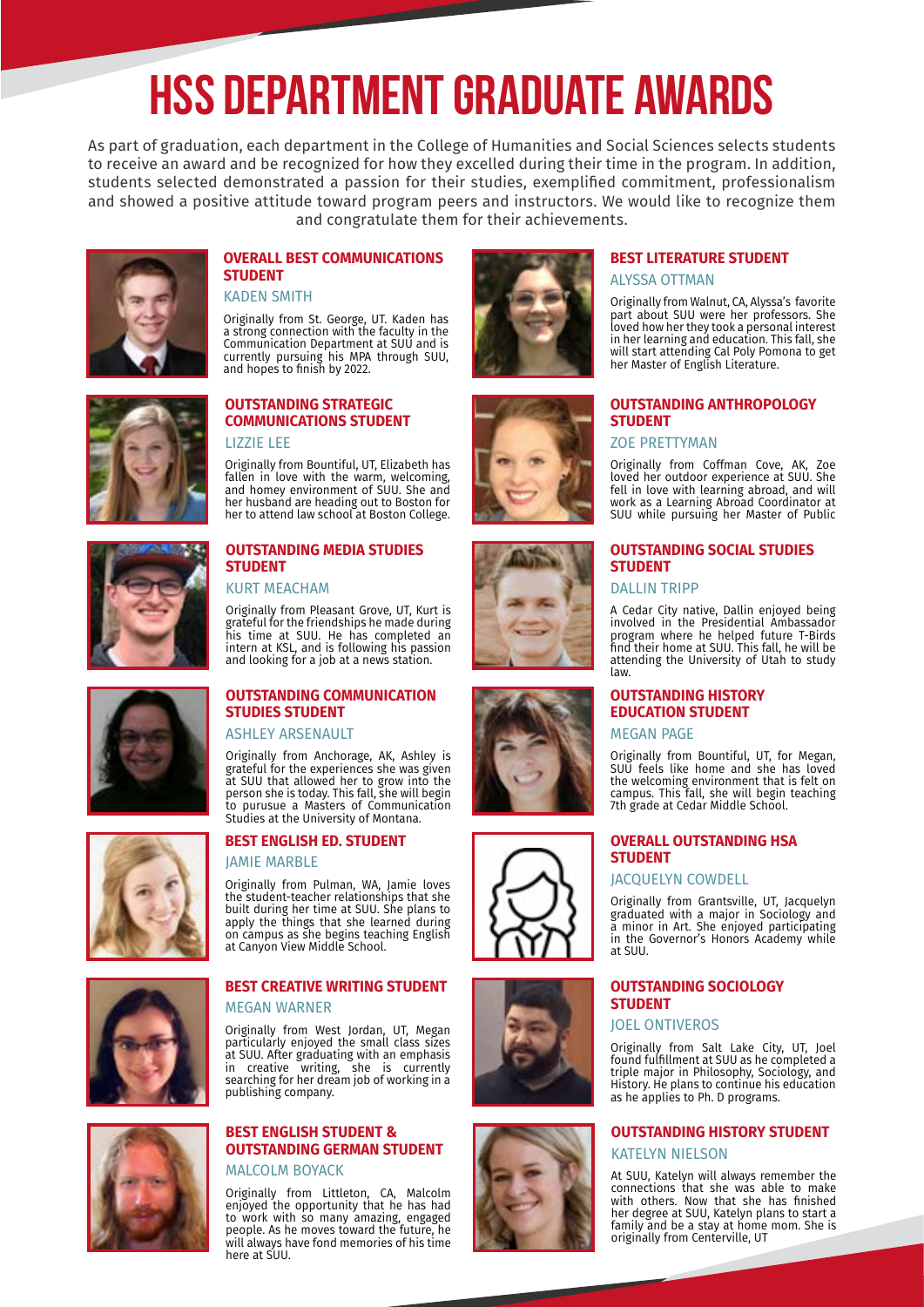# **HSS Department Graduate Awards**

As part of graduation, each department in the College of Humanities and Social Sciences selects students to receive an award and be recognized for how they excelled during their time in the program. In addition, students selected demonstrated a passion for their studies, exemplified commitment, professionalism and showed a positive attitude toward program peers and instructors. We would like to recognize them and congratulate them for their achievements.



#### **OVERALL BEST COMMUNICATIONS STUDENT**

KADEN SMITH

Originally from St. George, UT. Kaden has a strong connection with the faculty in the Communication Department at SUU and is currently pursuing his MPA through SUU, and hopes to finish by 2022.



#### **OUTSTANDING STRATEGIC COMMUNICATIONS STUDENT** LIZZIE LEE

Originally from Bountiful, UT, Elizabeth has fallen in love with the warm, welcoming, and homey environment of SUU. She and her husband are heading out to Boston for her to attend law school at Boston College.



#### **OUTSTANDING MEDIA STUDIES STUDENT**

KURT MEACHAM

Originally from Pleasant Grove, UT, Kurt is grateful for the friendships he made during his time at SUU. He has completed an intern at KSL, and is following his passion and looking for a job at a news station.



#### **OUTSTANDING COMMUNICATION STUDIES STUDENT**

ASHLEY ARSENAULT

Originally from Anchorage, AK, Ashley is grateful for the experiences she was given at SUU that allowed her to grow into the person she is today. This fall, she will begin to purusue a Masters of Communication Studies at the University of Montana.

#### **BEST ENGLISH ED. STUDENT**

#### JAMIE MARBLE

Originally from Pulman, WA, Jamie loves the student-teacher relationships that she built during her time at SUU. She plans to apply the things that she learned during on campus as she begins teaching English at Canyon View Middle School.



#### **BEST CREATIVE WRITING STUDENT** MEGAN WARNER

Originally from West Jordan, UT, Megan particularly enjoyed the small class sizes at SUU. After graduating with an emphasis in creative writing, she is currently searching for her dream job of working in a publishing company.



#### **BEST ENGLISH STUDENT & OUTSTANDING GERMAN STUDENT** MALCOLM BOYACK

Originally from Littleton, CA, Malcolm enjoyed the opportunity that he has had to work with so many amazing, engaged people. As he moves toward the future, he will always have fond memories of his time here at SUU.















#### **BEST LITERATURE STUDENT** ALYSSA OTTMAN

Originally from Walnut, CA, Alyssa's favorite part about SUU were her professors. She loved how her they took a personal interest in her learning and education. This fall, she will start attending Cal Poly Pomona to get her Master of English Literature.

#### **OUTSTANDING ANTHROPOLOGY STUDENT**

#### ZOE PRETTYMAN

Originally from Coffman Cove, AK, Zoe loved her outdoor experience at SUU. She fell in love with learning abroad, and will work as a Learning Abroad Coordinator at SUU while pursuing her Master of Public

#### **OUTSTANDING SOCIAL STUDIES STUDENT**

#### DALLIN TRIPP

A Cedar City native, Dallin enjoyed being involved in the Presidential Ambassador program where he helped future T-Birds find their home at SUU. This fall, he will be attending the University of Utah to study law.

#### **OUTSTANDING HISTORY EDUCATION STUDENT**

MEGAN PAGE

Originally from Bountiful, UT, for Megan, SUU feels like home and she has loved the welcoming environment that is felt on campus. This fall, she will begin teaching 7th grade at Cedar Middle School.

#### **OVERALL OUTSTANDING HSA STUDENT**

#### JACQUELYN COWDELL

Originally from Grantsville, UT, Jacquelyn graduated with a major in Sociology and a minor in Art. She enjoyed participating in the Governor's Honors Academy while at SUU.

#### **OUTSTANDING SOCIOLOGY STUDENT**

#### JOEL ONTIVEROS

Originally from Salt Lake City, UT, Joel found fulfillment at SUU as he completed a triple major in Philosophy, Sociology, and History. He plans to continue his education as he applies to Ph. D programs.

#### **OUTSTANDING HISTORY STUDENT** KATELYN NIELSON

At SUU, Katelyn will always remember the connections that she was able to make with others. Now that she has finished her degree at SUU, Katelyn plans to start a family and be a stay at home mom. She is originally from Centerville, UT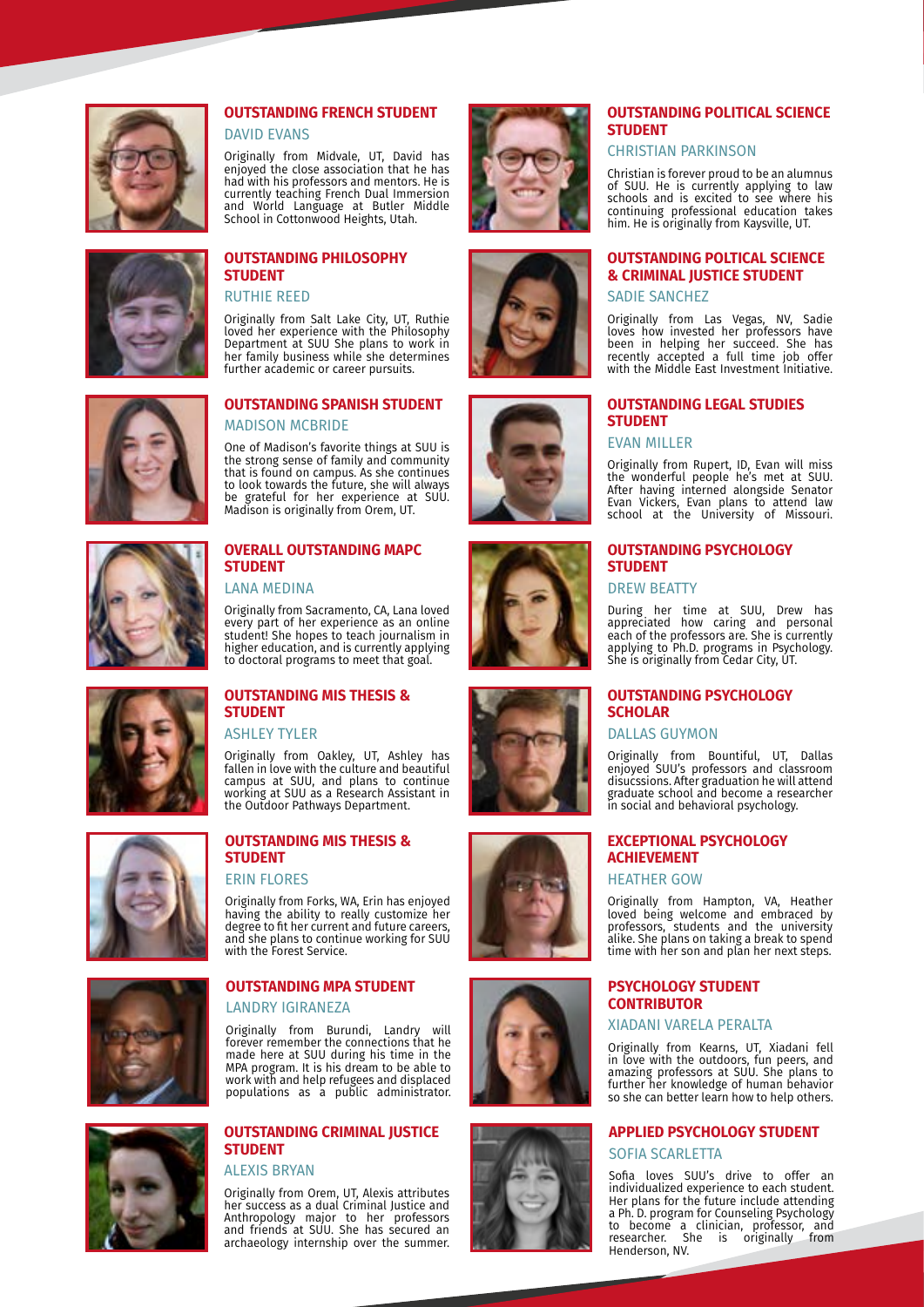

### **OUTSTANDING FRENCH STUDENT**

DAVID EVANS

Originally from Midvale, UT, David has enjoyed the close association that he has had with his professors and mentors. He is currently teaching French Dual Immersion and World Language at Butler Middle School in Cottonwood Heights, Utah.



#### **OUTSTANDING PHILOSOPHY STUDENT**

RUTHIE REED

Originally from Salt Lake City, UT, Ruthie loved her experience with the Philosophy Department at SUU She plans to work in her family business while she determines further academic or career pursuits.



#### **OUTSTANDING SPANISH STUDENT** MADISON MCBRIDE

One of Madison's favorite things at SUU is the strong sense of family and community that is found on campus. As she continues to look towards the future, she will always be grateful for her experience at SUU. Madison is originally from Orem, UT.



#### **OVERALL OUTSTANDING MAPC STUDENT**

LANA MEDINA

Originally from Sacramento, CA, Lana loved every part of her experience as an online student! She hopes to teach journalism in higher education, and is currently applying to doctoral programs to meet that goal.



### **OUTSTANDING MIS THESIS & STUDENT**

ASHLEY TYLER

Originally from Oakley, UT, Ashley has fallen in love with the culture and beautiful campus at SUU, and plans to continue working at SUU as a Research Assistant in the Outdoor Pathways Department.



### **STUDENT** ERIN FLORES

**OUTSTANDING MIS THESIS &** 

Originally from Forks, WA, Erin has enjoyed having the ability to really customize her degree to fit her current and future careers, and she plans to continue working for SUU with the Forest Service.



#### **OUTSTANDING MPA STUDENT**

LANDRY IGIRANEZA

Originally from Burundi, Landry will forever remember the connections that he made here at SUU during his time in the MPA program. It is his dream to be able to work with and help refugees and displaced populations as a public administrator.



#### **OUTSTANDING CRIMINAL JUSTICE STUDENT**

ALEXIS BRYAN

Originally from Orem, UT, Alexis attributes her success as a dual Criminal Justice and Anthropology major to her professors and friends at SUU. She has secured an archaeology internship over the summer.

















#### **OUTSTANDING POLITICAL SCIENCE STUDENT**

#### CHRISTIAN PARKINSON

Christian is forever proud to be an alumnus of SUU. He is currently applying to law schools and is excited to see where his continuing professional education takes him. He is originally from Kaysville, UT.

#### **OUTSTANDING POLTICAL SCIENCE & CRIMINAL JUSTICE STUDENT**

SADIE SANCHEZ

Originally from Las Vegas, NV, Sadie loves how invested her professors have been in helping her succeed. She has recently accepted a full time job offer with the Middle East Investment Initiative.

#### **OUTSTANDING LEGAL STUDIES STUDENT**

EVAN MILLER

Originally from Rupert, ID, Evan will miss the wonderful people he's met at SUU. After having interned alongside Senator Evan Vickers, Evan plans to attend law school at the University of Missouri.

#### **OUTSTANDING PSYCHOLOGY STUDENT**

DREW BEATTY

During her time at SUU, Drew has appreciated how caring and personal each of the professors are. She is currently applying to Ph.D. programs in Psychology. She is originally from Cedar City, UT.

#### **OUTSTANDING PSYCHOLOGY SCHOLAR**

DALLAS GUYMON

Originally from Bountiful, UT, Dallas enjoyed SUU's professors and classroom disucssions. After graduation he will attend graduate school and become a researcher in social and behavioral psychology.

#### **EXCEPTIONAL PSYCHOLOGY ACHIEVEMENT** HEATHER GOW

Originally from Hampton, VA, Heather loved being welcome and embraced by professors, students and the university alike. She plans on taking a break to spend time with her son and plan her next steps.

#### **PSYCHOLOGY STUDENT CONTRIBUTOR**

#### XIADANI VARELA PERALTA

Originally from Kearns, UT, Xiadani fell in love with the outdoors, fun peers, and amazing professors at SUU. She plans to further her knowledge of human behavior so she can better learn how to help others.

#### **APPLIED PSYCHOLOGY STUDENT**

SOFIA SCARLETTA

Sofia loves SUU's drive to offer an individualized experience to each student. Her plans for the future include attending a Ph. D. program for Counseling Psychology to become a clinician, professor, and researcher. She is originally from Henderson, NV.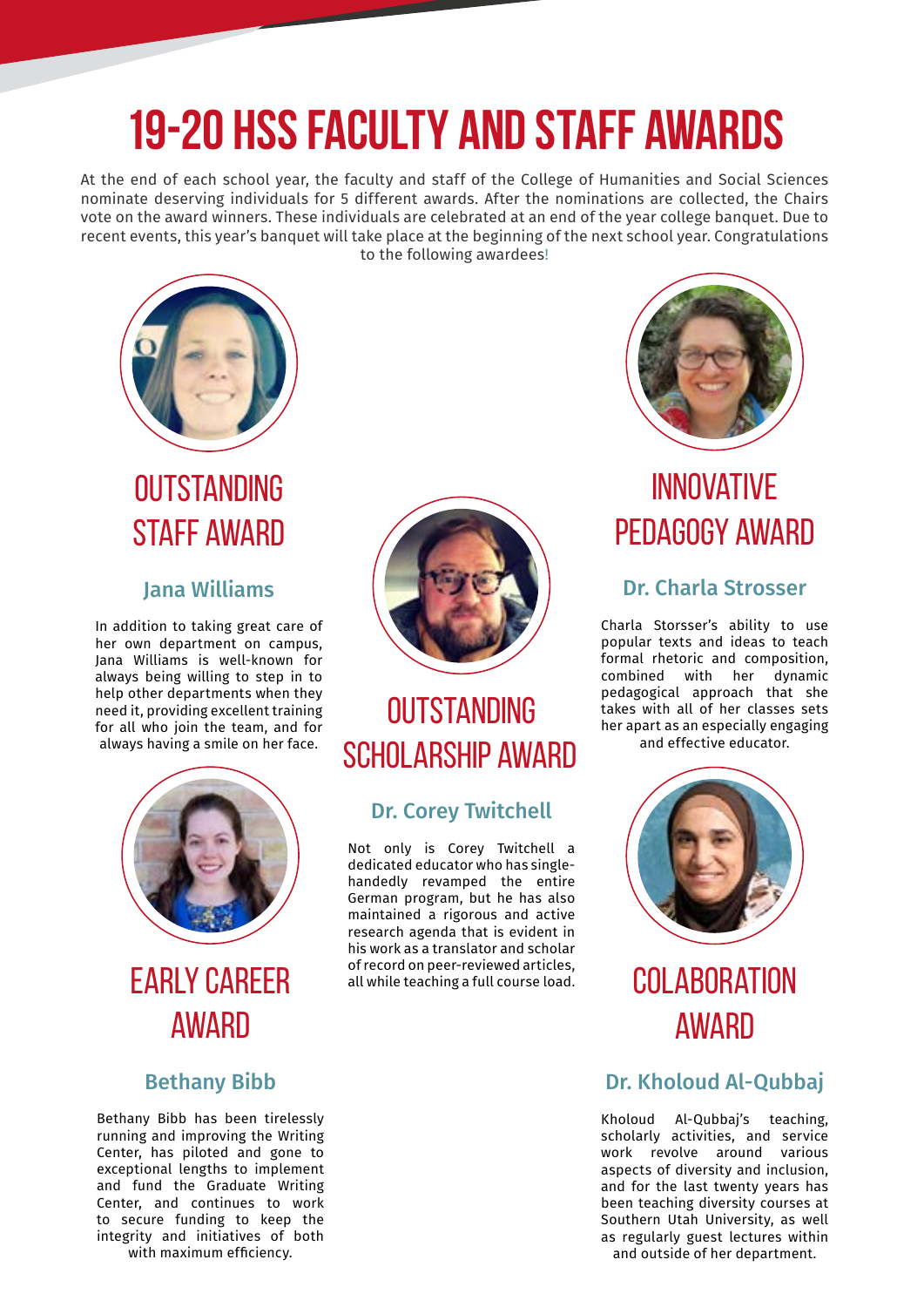# **19-20 HSS Faculty and Staff Awards**

At the end of each school year, the faculty and staff of the College of Humanities and Social Sciences nominate deserving individuals for 5 different awards. After the nominations are collected, the Chairs vote on the award winners. These individuals are celebrated at an end of the year college banquet. Due to recent events, this year's banquet will take place at the beginning of the next school year. Congratulations to the following awardees!



## **OUTSTANDING** STAFF AWARD

### Jana Williams

In addition to taking great care of her own department on campus, Jana Williams is well-known for always being willing to step in to help other departments when they need it, providing excellent training for all who join the team, and for always having a smile on her face.



## EARLY CAREER AWARD

### Bethany Bibb

Bethany Bibb has been tirelessly running and improving the Writing Center, has piloted and gone to exceptional lengths to implement and fund the Graduate Writing Center, and continues to work to secure funding to keep the integrity and initiatives of both with maximum efficiency.



### **OUTSTANDING** SCHOLARSHIP AWARD

### Dr. Corey Twitchell

Not only is Corey Twitchell a dedicated educator who has singlehandedly revamped the entire German program, but he has also maintained a rigorous and active research agenda that is evident in his work as a translator and scholar of record on peer-reviewed articles, all while teaching a full course load.



### INNOVATIVE PEDAGOGY AWARD

### Dr. Charla Strosser

Charla Storsser's ability to use popular texts and ideas to teach formal rhetoric and composition, combined with her dynamic pedagogical approach that she takes with all of her classes sets her apart as an especially engaging

and effective educator.



## **COLABORATION AWARD**

### Dr. Kholoud Al-Qubbaj

Kholoud Al-Qubbaj's teaching, scholarly activities, and service work revolve around various aspects of diversity and inclusion, and for the last twenty years has been teaching diversity courses at Southern Utah University, as well as regularly guest lectures within and outside of her department.